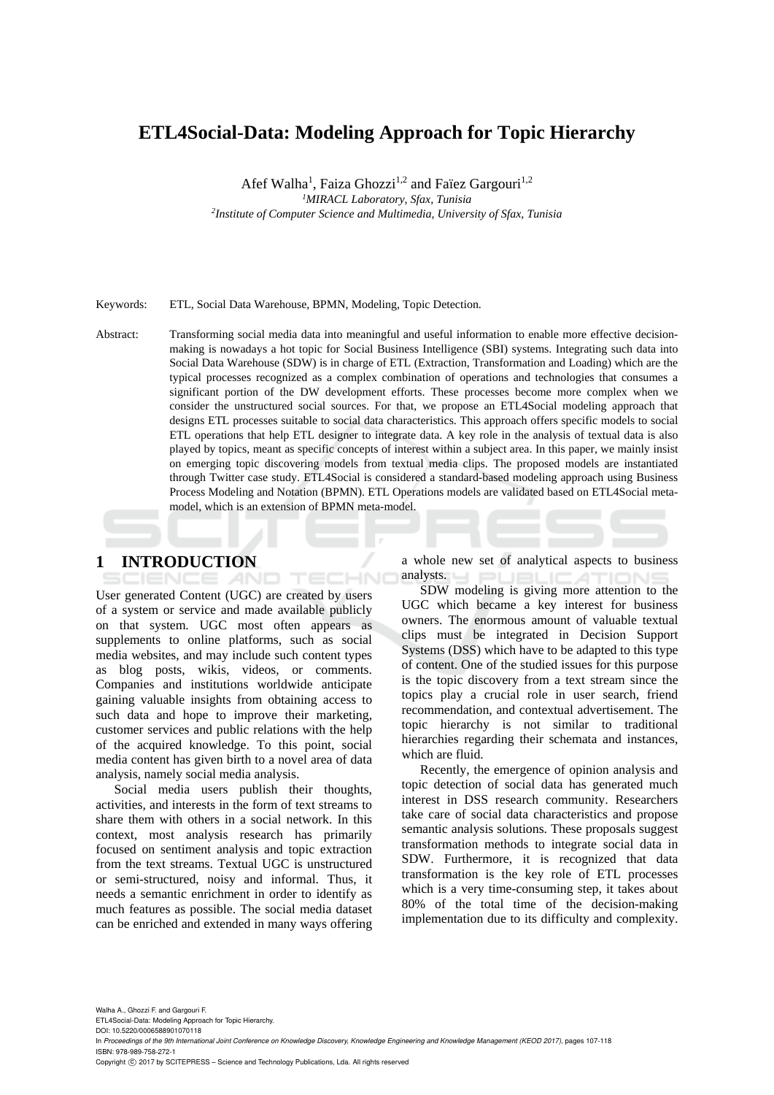# **ETL4Social-Data: Modeling Approach for Topic Hierarchy**

Afef Walha<sup>1</sup>, Faiza Ghozzi<sup>1,2</sup> and Faïez Gargouri<sup>1,2</sup>

<sup>1</sup>MIRACL Laboratory, Sfax, Tunisia

*MIRACL Laboratory, Sfax, Tunisia 2 Institute of Computer Science and Multimedia, University of Sfax, Tunisia* 

Keywords: ETL, Social Data Warehouse, BPMN, Modeling, Topic Detection.

Abstract: Transforming social media data into meaningful and useful information to enable more effective decisionmaking is nowadays a hot topic for Social Business Intelligence (SBI) systems. Integrating such data into Social Data Warehouse (SDW) is in charge of ETL (Extraction, Transformation and Loading) which are the typical processes recognized as a complex combination of operations and technologies that consumes a significant portion of the DW development efforts. These processes become more complex when we consider the unstructured social sources. For that, we propose an ETL4Social modeling approach that designs ETL processes suitable to social data characteristics. This approach offers specific models to social ETL operations that help ETL designer to integrate data. A key role in the analysis of textual data is also played by topics, meant as specific concepts of interest within a subject area. In this paper, we mainly insist on emerging topic discovering models from textual media clips. The proposed models are instantiated through Twitter case study. ETL4Social is considered a standard-based modeling approach using Business Process Modeling and Notation (BPMN). ETL Operations models are validated based on ETL4Social metamodel, which is an extension of BPMN meta-model.

# **1 INTRODUCTION**

ECHNO User generated Content (UGC) are created by users of a system or service and made available publicly on that system. UGC most often appears as supplements to online platforms, such as social media websites, and may include such content types as blog posts, wikis, videos, or comments. Companies and institutions worldwide anticipate gaining valuable insights from obtaining access to such data and hope to improve their marketing, customer services and public relations with the help of the acquired knowledge. To this point, social media content has given birth to a novel area of data analysis, namely social media analysis.

**AND** 

Social media users publish their thoughts, activities, and interests in the form of text streams to share them with others in a social network. In this context, most analysis research has primarily focused on sentiment analysis and topic extraction from the text streams. Textual UGC is unstructured or semi-structured, noisy and informal. Thus, it needs a semantic enrichment in order to identify as much features as possible. The social media dataset can be enriched and extended in many ways offering a whole new set of analytical aspects to business analysts.

SDW modeling is giving more attention to the UGC which became a key interest for business owners. The enormous amount of valuable textual clips must be integrated in Decision Support Systems (DSS) which have to be adapted to this type of content. One of the studied issues for this purpose is the topic discovery from a text stream since the topics play a crucial role in user search, friend recommendation, and contextual advertisement. The topic hierarchy is not similar to traditional hierarchies regarding their schemata and instances, which are fluid.

Recently, the emergence of opinion analysis and topic detection of social data has generated much interest in DSS research community. Researchers take care of social data characteristics and propose semantic analysis solutions. These proposals suggest transformation methods to integrate social data in SDW. Furthermore, it is recognized that data transformation is the key role of ETL processes which is a very time-consuming step, it takes about 80% of the total time of the decision-making implementation due to its difficulty and complexity.

Walha A., Ghozzi F. and Gargouri F. ETL4Social-Data: Modeling Approach for Topic Hierarchy. DOI: 10.5220/0006588901070118 In *Proceedings of the 9th International Joint Conference on Knowledge Discovery, Knowledge Engineering and Knowledge Management (KEOD 2017)*, pages 107-118 ISBN: 978-989-758-272-1 Copyright © 2017 by SCITEPRESS - Science and Technology Publications, Lda. All rights reserved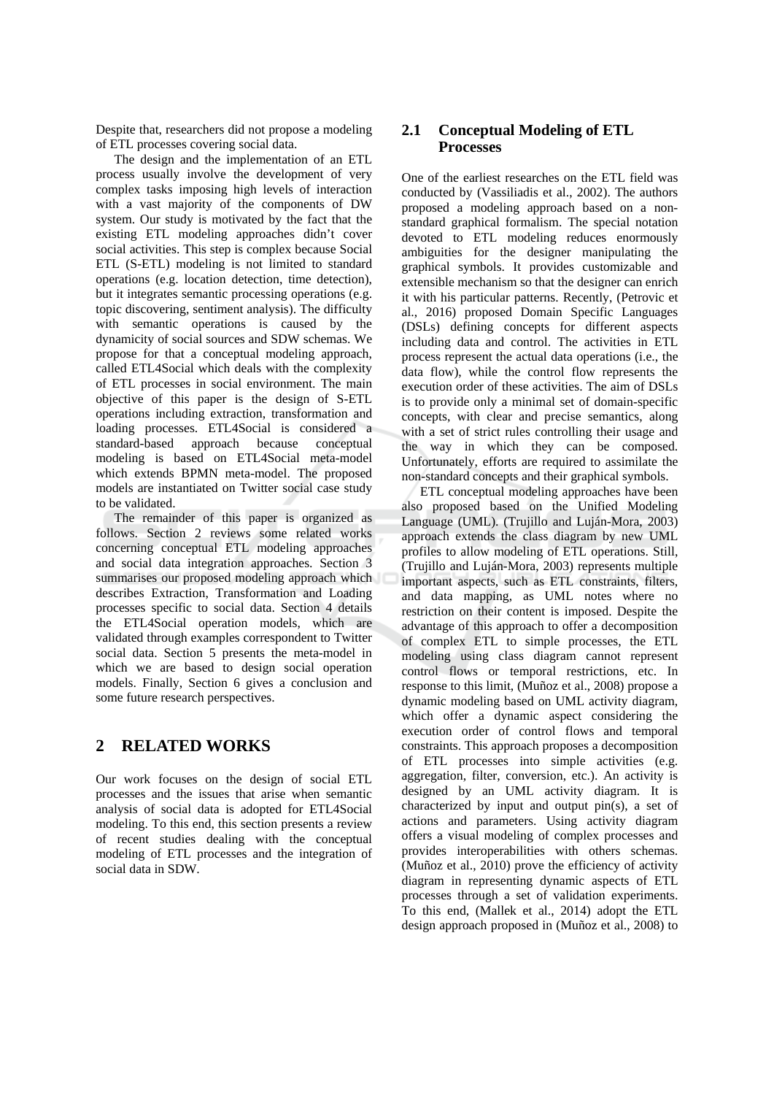Despite that, researchers did not propose a modeling of ETL processes covering social data.

The design and the implementation of an ETL process usually involve the development of very complex tasks imposing high levels of interaction with a vast majority of the components of DW system. Our study is motivated by the fact that the existing ETL modeling approaches didn't cover social activities. This step is complex because Social ETL (S-ETL) modeling is not limited to standard operations (e.g. location detection, time detection), but it integrates semantic processing operations (e.g. topic discovering, sentiment analysis). The difficulty with semantic operations is caused by the dynamicity of social sources and SDW schemas. We propose for that a conceptual modeling approach. called ETL4Social which deals with the complexity of ETL processes in social environment. The main objective of this paper is the design of S-ETL operations including extraction, transformation and loading processes. ETL4Social is considered a standard-based approach because conceptual modeling is based on ETL4Social meta-model which extends BPMN meta-model. The proposed models are instantiated on Twitter social case study to be validated.

The remainder of this paper is organized as follows. Section 2 reviews some related works concerning conceptual ETL modeling approaches and social data integration approaches. Section 3 summarises our proposed modeling approach which describes Extraction, Transformation and Loading processes specific to social data. Section 4 details the ETL4Social operation models, which are validated through examples correspondent to Twitter social data. Section 5 presents the meta-model in which we are based to design social operation models. Finally, Section 6 gives a conclusion and some future research perspectives.

#### $\overline{2}$ **RELATED WORKS**

Our work focuses on the design of social ETL processes and the issues that arise when semantic analysis of social data is adopted for ETL4Social modeling. To this end, this section presents a review of recent studies dealing with the conceptual modeling of ETL processes and the integration of social data in SDW.

## $2.1$ **Conceptual Modeling of ETL Processes**

One of the earliest researches on the ETL field was conducted by (Vassiliadis et al., 2002). The authors proposed a modeling approach based on a nonstandard graphical formalism. The special notation devoted to ETL modeling reduces enormously ambiguities for the designer manipulating the graphical symbols. It provides customizable and extensible mechanism so that the designer can enrich it with his particular patterns. Recently, (Petrovic et al., 2016) proposed Domain Specific Languages (DSLs) defining concepts for different aspects including data and control. The activities in ETL process represent the actual data operations (i.e., the data flow), while the control flow represents the execution order of these activities. The aim of DSLs is to provide only a minimal set of domain-specific concepts, with clear and precise semantics, along with a set of strict rules controlling their usage and the way in which they can be composed. Unfortunately, efforts are required to assimilate the non-standard concepts and their graphical symbols.

ETL conceptual modeling approaches have been also proposed based on the Unified Modeling Language (UML). (Trujillo and Luián-Mora, 2003) approach extends the class diagram by new UML profiles to allow modeling of ETL operations. Still, (Trujillo and Luián-Mora, 2003) represents multiple important aspects, such as ETL constraints, filters, and data mapping, as UML notes where no restriction on their content is imposed. Despite the advantage of this approach to offer a decomposition of complex ETL to simple processes, the ETL modeling using class diagram cannot represent control flows or temporal restrictions, etc. In response to this limit, (Muñoz et al., 2008) propose a dynamic modeling based on UML activity diagram, which offer a dynamic aspect considering the execution order of control flows and temporal constraints. This approach proposes a decomposition of ETL processes into simple activities (e.g. aggregation, filter, conversion, etc.). An activity is designed by an UML activity diagram. It is characterized by input and output pin(s), a set of actions and parameters. Using activity diagram offers a visual modeling of complex processes and provides interoperabilities with others schemas. (Muñoz et al., 2010) prove the efficiency of activity diagram in representing dynamic aspects of ETL processes through a set of validation experiments. To this end, (Mallek et al., 2014) adopt the ETL design approach proposed in (Muñoz et al., 2008) to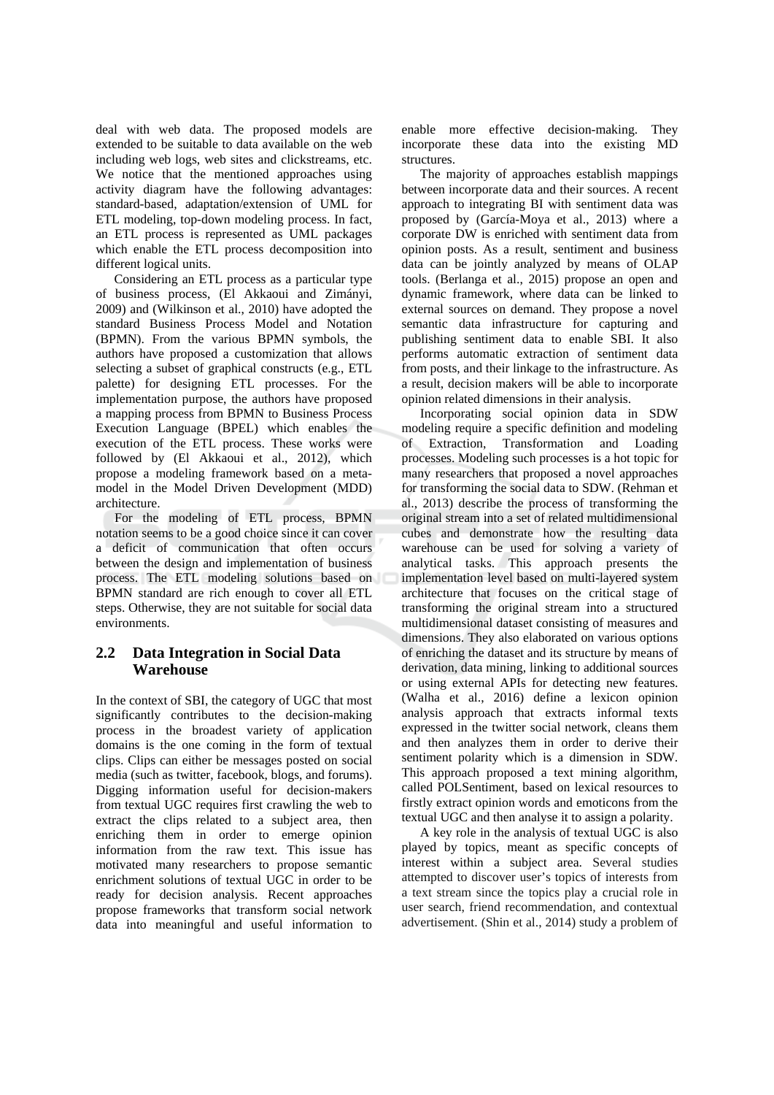deal with web data. The proposed models are extended to be suitable to data available on the web including web logs, web sites and clickstreams, etc. We notice that the mentioned approaches using activity diagram have the following advantages: standard-based, adaptation/extension of UML for ETL modeling, top-down modeling process. In fact, an ETL process is represented as UML packages which enable the ETL process decomposition into different logical units.

Considering an ETL process as a particular type of business process, (El Akkaoui and Zimányi, 2009) and (Wilkinson et al., 2010) have adopted the standard Business Process Model and Notation (BPMN). From the various BPMN symbols, the authors have proposed a customization that allows selecting a subset of graphical constructs (e.g., ETL) palette) for designing ETL processes. For the implementation purpose, the authors have proposed a mapping process from BPMN to Business Process Execution Language (BPEL) which enables the execution of the ETL process. These works were followed by (El Akkaoui et al., 2012), which propose a modeling framework based on a metamodel in the Model Driven Development (MDD) architecture.

For the modeling of ETL process, BPMN notation seems to be a good choice since it can cover a deficit of communication that often occurs between the design and implementation of business process. The ETL modeling solutions based on BPMN standard are rich enough to cover all ETL steps. Otherwise, they are not suitable for social data environments.

### $2.2$ Data Integration in Social Data Warehouse

In the context of SBI, the category of UGC that most significantly contributes to the decision-making process in the broadest variety of application domains is the one coming in the form of textual clips. Clips can either be messages posted on social media (such as twitter, facebook, blogs, and forums). Digging information useful for decision-makers from textual UGC requires first crawling the web to extract the clips related to a subject area, then enriching them in order to emerge opinion information from the raw text. This issue has motivated many researchers to propose semantic enrichment solutions of textual UGC in order to be ready for decision analysis. Recent approaches propose frameworks that transform social network data into meaningful and useful information to enable more effective decision-making. They incorporate these data into the existing MD structures.

The majority of approaches establish mappings between incorporate data and their sources. A recent approach to integrating BI with sentiment data was proposed by (García-Moya et al., 2013) where a corporate DW is enriched with sentiment data from opinion posts. As a result, sentiment and business data can be jointly analyzed by means of OLAP tools. (Berlanga et al., 2015) propose an open and dynamic framework, where data can be linked to external sources on demand. They propose a novel semantic data infrastructure for capturing and publishing sentiment data to enable SBI. It also performs automatic extraction of sentiment data from posts, and their linkage to the infrastructure. As a result, decision makers will be able to incorporate opinion related dimensions in their analysis.

Incorporating social opinion data in SDW modeling require a specific definition and modeling of Extraction, Transformation and Loading processes. Modeling such processes is a hot topic for many researchers that proposed a novel approaches for transforming the social data to SDW. (Rehman et al., 2013) describe the process of transforming the original stream into a set of related multidimensional cubes and demonstrate how the resulting data warehouse can be used for solving a variety of analytical tasks. This approach presents the implementation level based on multi-layered system architecture that focuses on the critical stage of transforming the original stream into a structured multidimensional dataset consisting of measures and dimensions. They also elaborated on various options of enriching the dataset and its structure by means of derivation, data mining, linking to additional sources or using external APIs for detecting new features. (Walha et al., 2016) define a lexicon opinion analysis approach that extracts informal texts expressed in the twitter social network, cleans them and then analyzes them in order to derive their sentiment polarity which is a dimension in SDW. This approach proposed a text mining algorithm, called POLSentiment, based on lexical resources to firstly extract opinion words and emoticons from the textual UGC and then analyse it to assign a polarity.

A key role in the analysis of textual UGC is also played by topics, meant as specific concepts of interest within a subject area. Several studies attempted to discover user's topics of interests from a text stream since the topics play a crucial role in user search, friend recommendation, and contextual advertisement. (Shin et al., 2014) study a problem of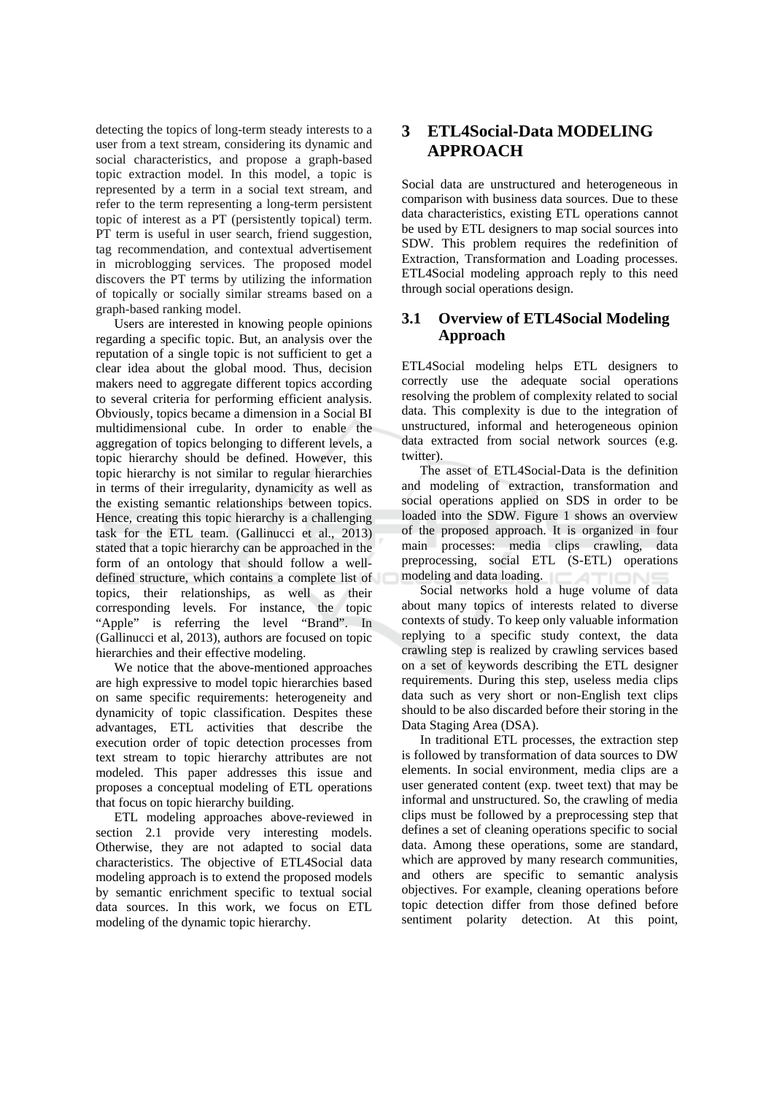detecting the topics of long-term steady interests to a user from a text stream, considering its dynamic and social characteristics, and propose a graph-based topic extraction model. In this model, a topic is represented by a term in a social text stream, and refer to the term representing a long-term persistent topic of interest as a PT (persistently topical) term. PT term is useful in user search, friend suggestion. tag recommendation, and contextual advertisement in microblogging services. The proposed model discovers the PT terms by utilizing the information of topically or socially similar streams based on a graph-based ranking model.

Users are interested in knowing people opinions regarding a specific topic. But, an analysis over the reputation of a single topic is not sufficient to get a clear idea about the global mood. Thus, decision makers need to aggregate different topics according to several criteria for performing efficient analysis. Obviously, topics became a dimension in a Social BI multidimensional cube. In order to enable the aggregation of topics belonging to different levels, a topic hierarchy should be defined. However, this topic hierarchy is not similar to regular hierarchies in terms of their irregularity, dynamicity as well as the existing semantic relationships between topics. Hence, creating this topic hierarchy is a challenging task for the ETL team. (Gallinucci et al., 2013) stated that a topic hierarchy can be approached in the form of an ontology that should follow a welldefined structure, which contains a complete list of topics, their relationships, as well as their corresponding levels. For instance, the topic "Apple" is referring the level "Brand". In (Gallinucci et al, 2013), authors are focused on topic hierarchies and their effective modeling.

We notice that the above-mentioned approaches are high expressive to model topic hierarchies based on same specific requirements: heterogeneity and dynamicity of topic classification. Despites these advantages, ETL activities that describe the execution order of topic detection processes from text stream to topic hierarchy attributes are not modeled. This paper addresses this issue and proposes a conceptual modeling of ETL operations that focus on topic hierarchy building.

ETL modeling approaches above-reviewed in section 2.1 provide very interesting models. Otherwise, they are not adapted to social data characteristics. The objective of ETL4Social data modeling approach is to extend the proposed models by semantic enrichment specific to textual social data sources. In this work, we focus on ETL modeling of the dynamic topic hierarchy.

# 3 ETL4Social-Data MODELING **APPROACH**

Social data are unstructured and heterogeneous in comparison with business data sources. Due to these data characteristics, existing ETL operations cannot be used by ETL designers to map social sources into SDW. This problem requires the redefinition of Extraction, Transformation and Loading processes. ETL4Social modeling approach reply to this need through social operations design.

### $3.1$ **Overview of ETL4Social Modeling Approach**

ETL4Social modeling helps ETL designers to correctly use the adequate social operations resolving the problem of complexity related to social data. This complexity is due to the integration of unstructured, informal and heterogeneous opinion data extracted from social network sources (e.g. twitter).

The asset of ETL4Social-Data is the definition and modeling of extraction, transformation and social operations applied on SDS in order to be loaded into the SDW. Figure 1 shows an overview of the proposed approach. It is organized in four main processes: media clips crawling, data preprocessing, social ETL (S-ETL) operations modeling and data loading.

Social networks hold a huge volume of data about many topics of interests related to diverse contexts of study. To keep only valuable information replying to a specific study context, the data crawling step is realized by crawling services based on a set of keywords describing the ETL designer requirements. During this step, useless media clips data such as very short or non-English text clips should to be also discarded before their storing in the Data Staging Area (DSA).

In traditional ETL processes, the extraction step is followed by transformation of data sources to DW elements. In social environment, media clips are a user generated content (exp. tweet text) that may be informal and unstructured. So, the crawling of media clips must be followed by a preprocessing step that defines a set of cleaning operations specific to social data. Among these operations, some are standard, which are approved by many research communities, and others are specific to semantic analysis objectives. For example, cleaning operations before topic detection differ from those defined before sentiment polarity detection. At this point,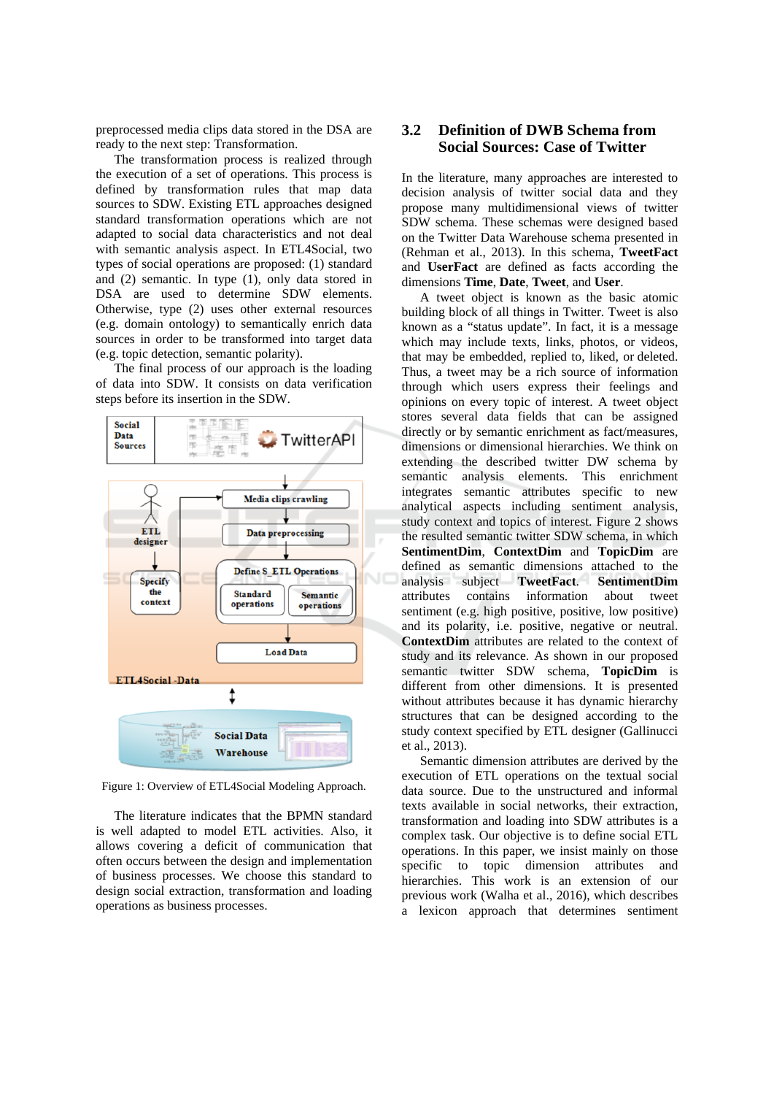preprocessed media clips data stored in the DSA are ready to the next step: Transformation.

The transformation process is realized through the execution of a set of operations. This process is defined by transformation rules that map data sources to SDW. Existing ETL approaches designed standard transformation operations which are not adapted to social data characteristics and not deal with semantic analysis aspect. In ETL4Social, two types of social operations are proposed: (1) standard and  $(2)$  semantic. In type  $(1)$ , only data stored in DSA are used to determine SDW elements. Otherwise, type (2) uses other external resources (e.g. domain ontology) to semantically enrich data sources in order to be transformed into target data (e.g. topic detection, semantic polarity).

The final process of our approach is the loading of data into SDW. It consists on data verification steps before its insertion in the SDW.



Figure 1: Overview of ETL4Social Modeling Approach.

The literature indicates that the BPMN standard is well adapted to model ETL activities. Also, it allows covering a deficit of communication that often occurs between the design and implementation of business processes. We choose this standard to design social extraction, transformation and loading operations as business processes.

### **Definition of DWB Schema from**  $3.2$ **Social Sources: Case of Twitter**

In the literature, many approaches are interested to decision analysis of twitter social data and they propose many multidimensional views of twitter SDW schema. These schemas were designed based on the Twitter Data Warehouse schema presented in (Rehman et al., 2013). In this schema, TweetFact and UserFact are defined as facts according the dimensions Time, Date, Tweet, and User.

A tweet object is known as the basic atomic building block of all things in Twitter. Tweet is also known as a "status update". In fact, it is a message which may include texts, links, photos, or videos, that may be embedded, replied to, liked, or deleted. Thus, a tweet may be a rich source of information through which users express their feelings and opinions on every topic of interest. A tweet object stores several data fields that can be assigned directly or by semantic enrichment as fact/measures, dimensions or dimensional hierarchies. We think on extending the described twitter DW schema by semantic analysis elements. This enrichment integrates semantic attributes specific to new analytical aspects including sentiment analysis, study context and topics of interest. Figure 2 shows the resulted semantic twitter SDW schema, in which SentimentDim. ContextDim and TopicDim are defined as semantic dimensions attached to the analysis subject TweetFact. SentimentDim attributes contains information about tweet sentiment (e.g. high positive, positive, low positive) and its polarity, i.e. positive, negative or neutral. ContextDim attributes are related to the context of study and its relevance. As shown in our proposed semantic twitter SDW schema, TopicDim is different from other dimensions. It is presented without attributes because it has dynamic hierarchy structures that can be designed according to the study context specified by ETL designer (Gallinucci et al., 2013).

Semantic dimension attributes are derived by the execution of ETL operations on the textual social data source. Due to the unstructured and informal texts available in social networks, their extraction. transformation and loading into SDW attributes is a complex task. Our objective is to define social ETL operations. In this paper, we insist mainly on those specific to topic dimension attributes and hierarchies. This work is an extension of our previous work (Walha et al., 2016), which describes a lexicon approach that determines sentiment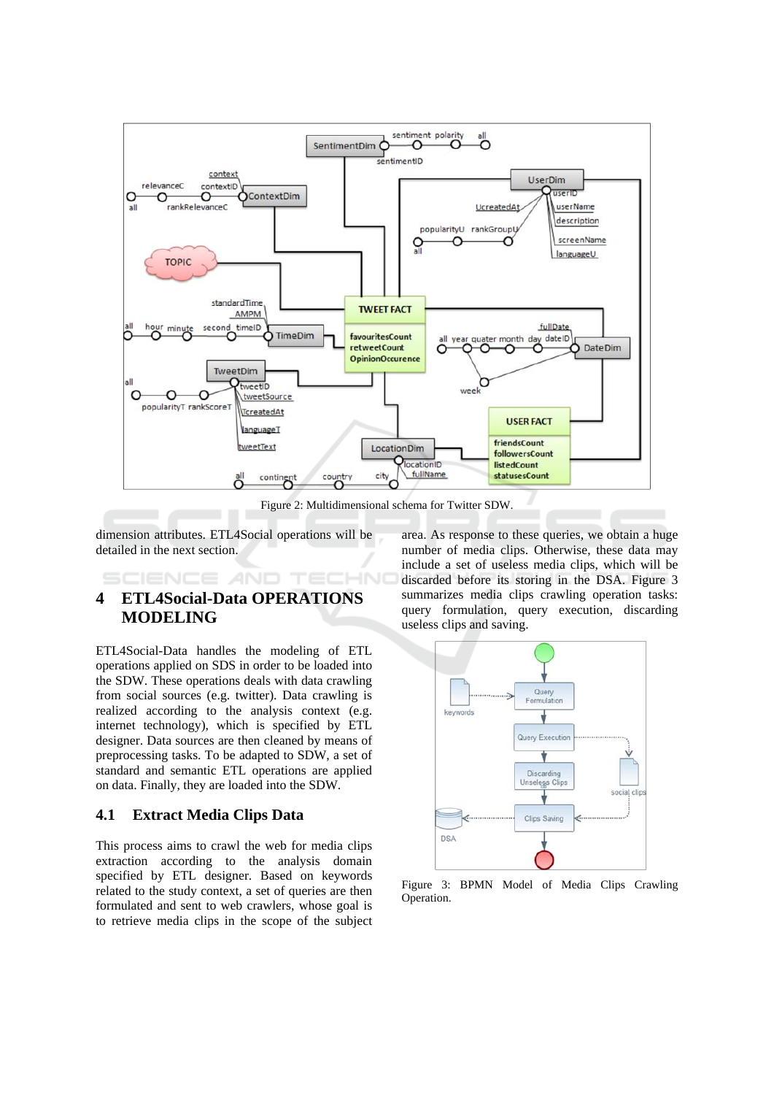

Figure 2: Multidimensional schema for Twitter SDW.

 $\neg$ NC

dimension attributes. ETL4Social operations will be detailed in the next section.

**AND** 

## **ETL4Social-Data OPERATIONS**  $\overline{\mathbf{4}}$ **MODELING**

ETL4Social-Data handles the modeling of ETL operations applied on SDS in order to be loaded into the SDW. These operations deals with data crawling from social sources (e.g. twitter). Data crawling is realized according to the analysis context (e.g. internet technology), which is specified by ETL designer. Data sources are then cleaned by means of preprocessing tasks. To be adapted to SDW, a set of standard and semantic ETL operations are applied on data. Finally, they are loaded into the SDW.

#### $4.1$ **Extract Media Clips Data**

This process aims to crawl the web for media clips extraction according to the analysis domain specified by ETL designer. Based on keywords related to the study context, a set of queries are then formulated and sent to web crawlers, whose goal is to retrieve media clips in the scope of the subject

area. As response to these queries, we obtain a huge number of media clips. Otherwise, these data may include a set of useless media clips, which will be discarded before its storing in the DSA. Figure 3 summarizes media clips crawling operation tasks: query formulation, query execution, discarding useless clips and saving.



Figure 3: BPMN Model of Media Clips Crawling Operation.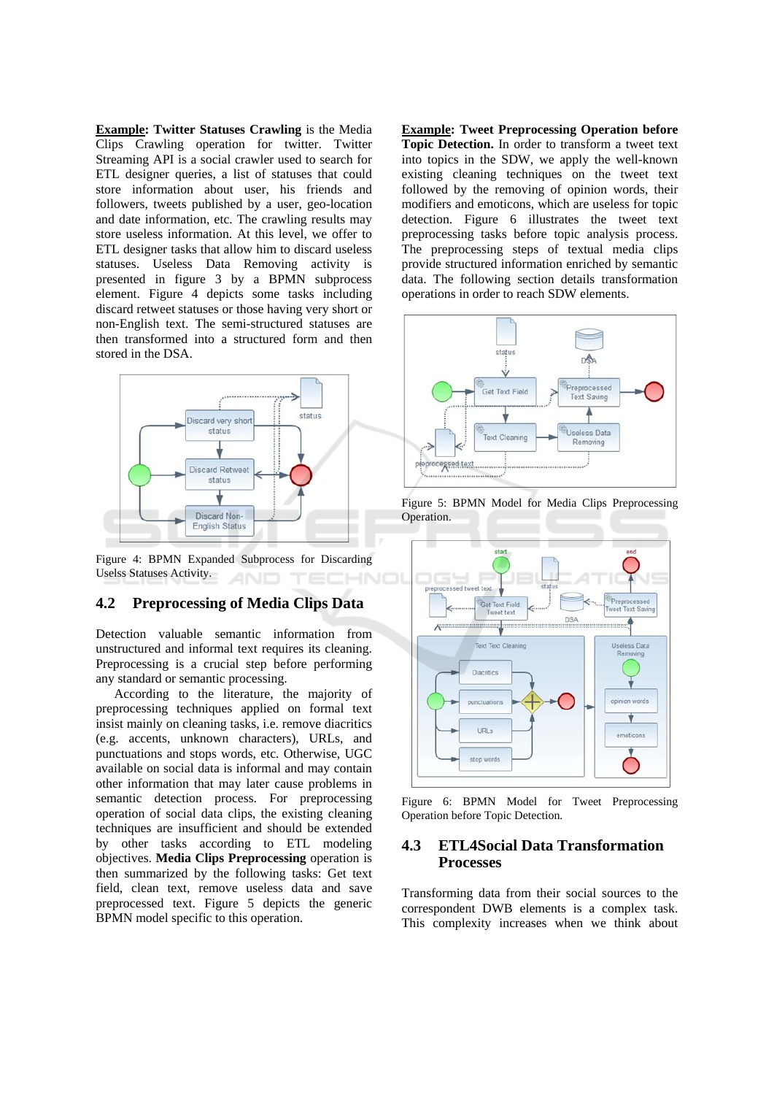**Example: Twitter Statuses Crawling is the Media** Clips Crawling operation for twitter. Twitter Streaming API is a social crawler used to search for ETL designer queries, a list of statuses that could store information about user, his friends and followers, tweets published by a user, geo-location and date information, etc. The crawling results may store useless information. At this level, we offer to ETL designer tasks that allow him to discard useless statuses. Useless Data Removing activity is presented in figure 3 by a BPMN subprocess element. Figure 4 depicts some tasks including discard retweet statuses or those having very short or non-English text. The semi-structured statuses are then transformed into a structured form and then stored in the DSA.



Figure 4: BPMN Expanded Subprocess for Discarding Uselss Statuses Activity.

#### **Preprocessing of Media Clips Data**  $4.2$

Detection valuable semantic information from unstructured and informal text requires its cleaning. Preprocessing is a crucial step before performing any standard or semantic processing.

According to the literature, the majority of preprocessing techniques applied on formal text insist mainly on cleaning tasks, i.e. remove diacritics (e.g. accents, unknown characters), URLs, and punctuations and stops words, etc. Otherwise, UGC available on social data is informal and may contain other information that may later cause problems in semantic detection process. For preprocessing operation of social data clips, the existing cleaning techniques are insufficient and should be extended by other tasks according to ETL modeling objectives. Media Clips Preprocessing operation is then summarized by the following tasks: Get text field, clean text, remove useless data and save preprocessed text. Figure 5 depicts the generic BPMN model specific to this operation.

**Example: Tweet Preprocessing Operation before** Topic Detection. In order to transform a tweet text into topics in the SDW, we apply the well-known existing cleaning techniques on the tweet text followed by the removing of opinion words, their modifiers and emoticons, which are useless for topic detection. Figure 6 illustrates the tweet text preprocessing tasks before topic analysis process. The preprocessing steps of textual media clips provide structured information enriched by semantic data. The following section details transformation operations in order to reach SDW elements.



Figure 5: BPMN Model for Media Clips Preprocessing Operation.



Figure 6: BPMN Model for Tweet Preprocessing Operation before Topic Detection.

### **ETL4Social Data Transformation** 4.3 **Processes**

Transforming data from their social sources to the correspondent DWB elements is a complex task. This complexity increases when we think about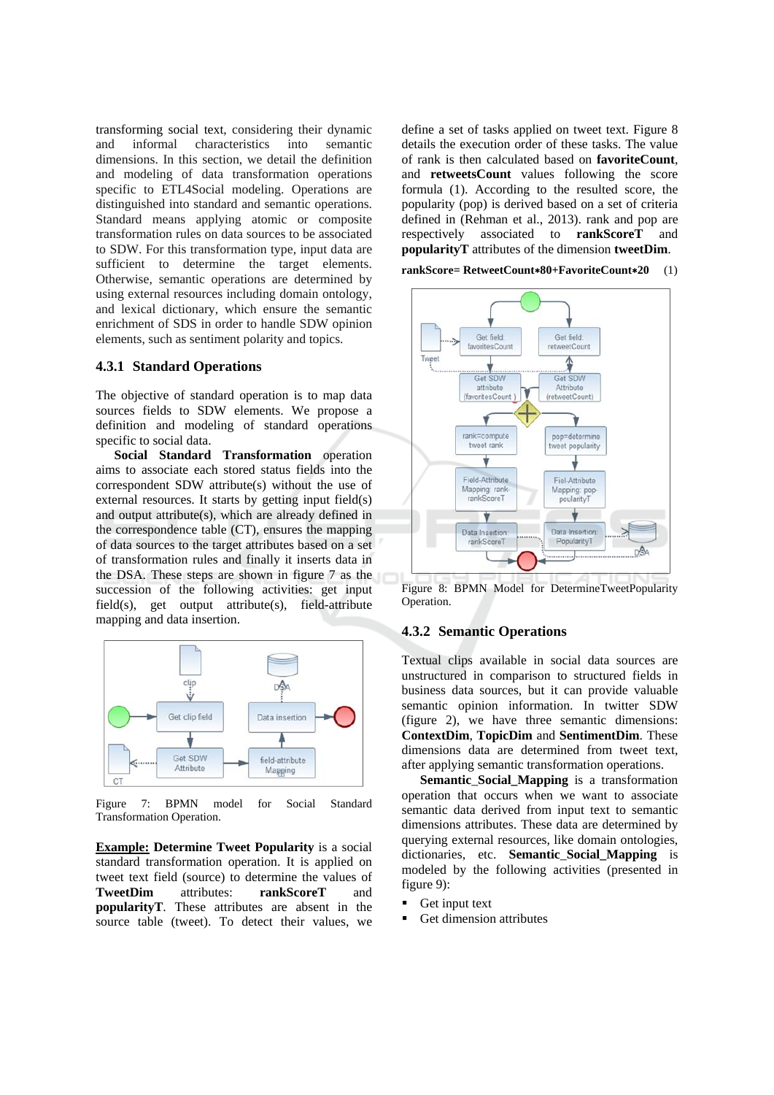transforming social text, considering their dynamic and informal characteristics into semantic dimensions. In this section, we detail the definition and modeling of data transformation operations specific to ETL4Social modeling. Operations are distinguished into standard and semantic operations. Standard means applying atomic or composite transformation rules on data sources to be associated to SDW. For this transformation type, input data are sufficient to determine the target elements. Otherwise, semantic operations are determined by using external resources including domain ontology, and lexical dictionary, which ensure the semantic enrichment of SDS in order to handle SDW opinion elements, such as sentiment polarity and topics.

## **4.3.1 Standard Operations**

The objective of standard operation is to map data sources fields to SDW elements. We propose a definition and modeling of standard operations specific to social data.

Social Standard Transformation operation aims to associate each stored status fields into the correspondent SDW attribute(s) without the use of external resources. It starts by getting input field(s) and output attribute(s), which are already defined in the correspondence table (CT), ensures the mapping of data sources to the target attributes based on a set of transformation rules and finally it inserts data in the DSA. These steps are shown in figure 7 as the succession of the following activities: get input field(s), get output attribute(s), field-attribute mapping and data insertion.



Figure  $7:$  BPMN model for Social Standard Transformation Operation.

**Example:** Determine Tweet Popularity is a social standard transformation operation. It is applied on tweet text field (source) to determine the values of **TweetDim** attributes<sup>.</sup> rankScoreT and popularityT. These attributes are absent in the source table (tweet). To detect their values, we

define a set of tasks applied on tweet text. Figure 8 details the execution order of these tasks. The value of rank is then calculated based on **favoriteCount**, and retweetsCount values following the score formula (1). According to the resulted score, the popularity (pop) is derived based on a set of criteria defined in (Rehman et al., 2013). rank and pop are respectively associated to **rankScoreT** and popularityT attributes of the dimension tweetDim.

rankScore= RetweetCount\*80+FavoriteCount\*20 (1)



Figure 8: BPMN Model for DetermineTweetPopularity Operation.

## **4.3.2 Semantic Operations**

Textual clips available in social data sources are unstructured in comparison to structured fields in business data sources, but it can provide valuable semantic opinion information. In twitter SDW (figure 2), we have three semantic dimensions: **ContextDim, TopicDim and SentimentDim.** These dimensions data are determined from tweet text, after applying semantic transformation operations.

Semantic Social Mapping is a transformation operation that occurs when we want to associate semantic data derived from input text to semantic dimensions attributes. These data are determined by querving external resources, like domain ontologies, dictionaries, etc. Semantic\_Social\_Mapping is modeled by the following activities (presented in figure  $9$ :

- $\blacksquare$ Get input text
- Get dimension attributes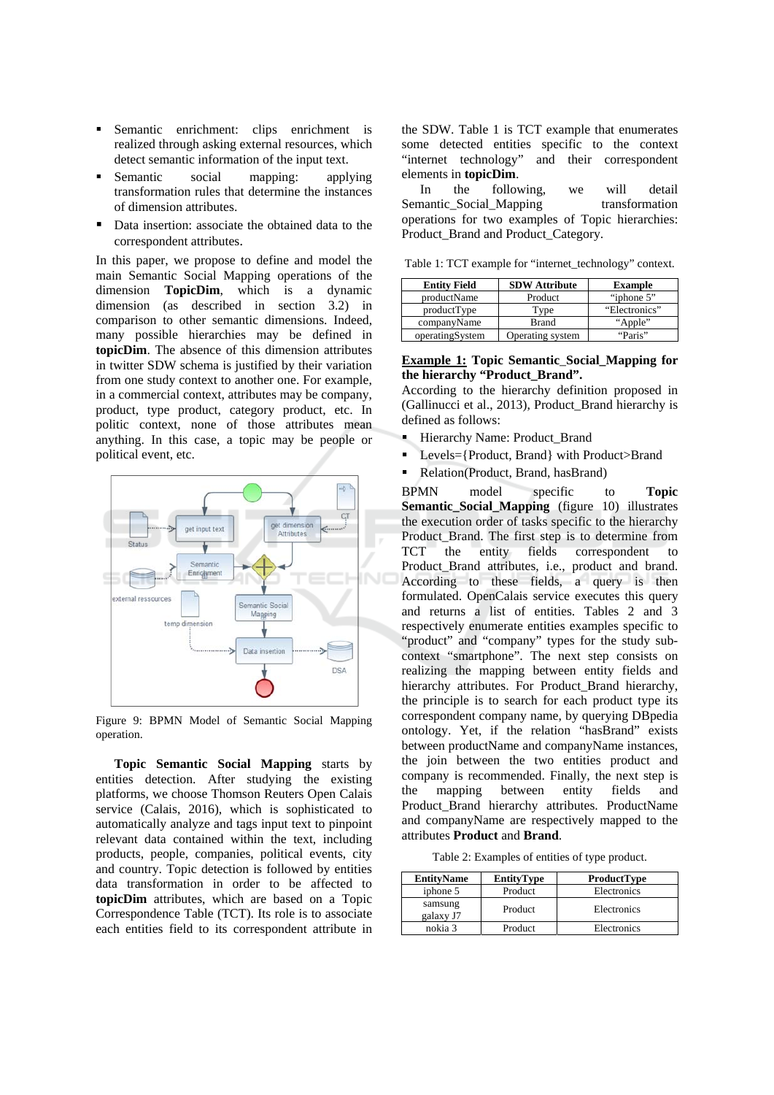- Semantic enrichment: clips enrichment is realized through asking external resources, which detect semantic information of the input text.
- applying Semantic social mapping:  $\blacksquare$ transformation rules that determine the instances of dimension attributes.
- Data insertion: associate the obtained data to the correspondent attributes.

In this paper, we propose to define and model the main Semantic Social Mapping operations of the dimension **TopicDim**, which is a dynamic dimension (as described in section  $3.2$ ) in comparison to other semantic dimensions. Indeed, many possible hierarchies may be defined in **topicDim.** The absence of this dimension attributes in twitter SDW schema is justified by their variation from one study context to another one. For example, in a commercial context, attributes may be company, product, type product, category product, etc. In politic context, none of those attributes mean anything. In this case, a topic may be people or political event, etc.



Figure 9: BPMN Model of Semantic Social Mapping operation.

Topic Semantic Social Mapping starts by entities detection. After studying the existing platforms, we choose Thomson Reuters Open Calais service (Calais, 2016), which is sophisticated to automatically analyze and tags input text to pinpoint relevant data contained within the text, including products, people, companies, political events, city and country. Topic detection is followed by entities data transformation in order to be affected to topicDim attributes, which are based on a Topic Correspondence Table (TCT). Its role is to associate each entities field to its correspondent attribute in

the SDW. Table 1 is TCT example that enumerates some detected entities specific to the context "internet technology" and their correspondent elements in topicDim.

 $In$ the following. we will detail Semantic Social Mapping transformation operations for two examples of Topic hierarchies: Product Brand and Product Category.

Table 1: TCT example for "internet\_technology" context.

| <b>Entity Field</b> | <b>SDW Attribute</b> | <b>Example</b> |
|---------------------|----------------------|----------------|
| productName         | Product              | "iphone 5"     |
| productType         | Type                 | "Electronics"  |
| companyName         | <b>Brand</b>         | "Apple"        |
| operatingSystem     | Operating system     | "Paris"        |

## **Example 1: Topic Semantic\_Social\_Mapping for** the hierarchy "Product\_Brand".

According to the hierarchy definition proposed in (Gallinucci et al., 2013), Product Brand hierarchy is defined as follows:

- Hierarchy Name: Product Brand
- Levels={Product, Brand} with Product>Brand
- Relation(Product, Brand, hasBrand)

**RPMN** model specific  $\mathsf{to}$ **Topic Semantic Social Mapping** (figure 10) illustrates the execution order of tasks specific to the hierarchy Product Brand. The first step is to determine from the entity fields correspondent **TCT**  $t_0$ Product Brand attributes, i.e., product and brand. According to these fields, a query is then formulated. OpenCalais service executes this query and returns a list of entities. Tables 2 and 3 respectively enumerate entities examples specific to "product" and "company" types for the study subcontext "smartphone". The next step consists on realizing the mapping between entity fields and hierarchy attributes. For Product Brand hierarchy, the principle is to search for each product type its correspondent company name, by querying DB pedia ontology. Yet, if the relation "hasBrand" exists between productName and companyName instances, the join between the two entities product and company is recommended. Finally, the next step is between entity the mapping fields and Product Brand hierarchy attributes. ProductName and companyName are respectively mapped to the attributes Product and Brand.

Table 2: Examples of entities of type product.

| <b>EntityName</b>    | <b>EntityType</b> | <b>ProductType</b> |
|----------------------|-------------------|--------------------|
| iphone 5             | Product           | Electronics        |
| samsung<br>galaxy J7 | Product           | Electronics        |
| nokia 3              | Product           | Electronics        |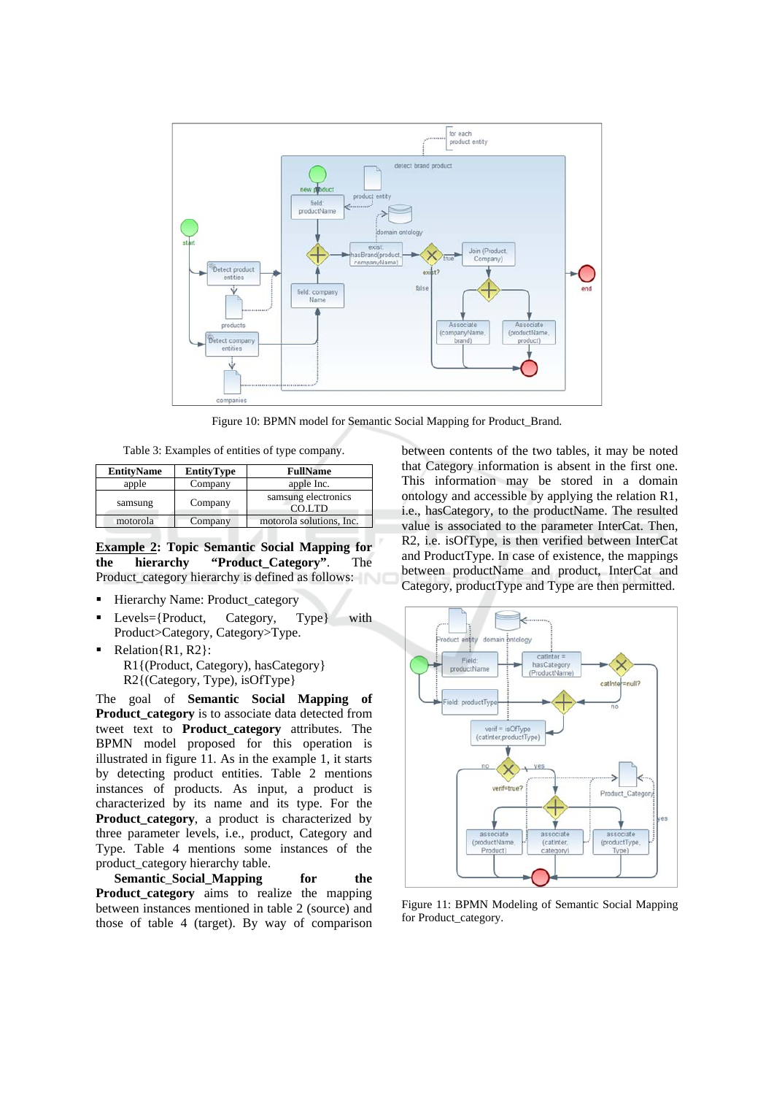

Figure 10: BPMN model for Semantic Social Mapping for Product\_Brand.

Table 3: Examples of entities of type company.

| <b>EntityName</b> | <b>EntityType</b> | <b>FullName</b>               |  |
|-------------------|-------------------|-------------------------------|--|
| apple             | Company           | apple Inc.                    |  |
| samsung           | Company           | samsung electronics<br>CO.LTD |  |
| motorola          | Company           | motorola solutions, Inc.      |  |

**Example 2: Topic Semantic Social Mapping for** the "Product\_Category". hierarchy The Product\_category hierarchy is defined as follows:

- Hierarchy Name: Product\_category  $\blacksquare$
- $\blacksquare$ Levels={Product, Category, with Type} Product>Category, Category>Type.
- $Relation\{R1, R2\}$ : R1{(Product, Category), hasCategory} R2{(Category, Type), isOfType}

The goal of Semantic Social Mapping of Product\_category is to associate data detected from tweet text to **Product\_category** attributes. The BPMN model proposed for this operation is illustrated in figure 11. As in the example 1, it starts by detecting product entities. Table 2 mentions instances of products. As input, a product is characterized by its name and its type. For the **Product\_category**, a product is characterized by three parameter levels, i.e., product, Category and Type. Table 4 mentions some instances of the product category hierarchy table.

**Semantic Social Mapping** for the Product\_category aims to realize the mapping between instances mentioned in table 2 (source) and those of table 4 (target). By way of comparison

between contents of the two tables, it may be noted that Category information is absent in the first one. This information may be stored in a domain ontology and accessible by applying the relation R1, i.e., hasCategory, to the productName. The resulted value is associated to the parameter InterCat. Then, R2, i.e. isOfType, is then verified between InterCat and ProductType. In case of existence, the mappings between productName and product, InterCat and Category, productType and Type are then permitted.



Figure 11: BPMN Modeling of Semantic Social Mapping for Product\_category.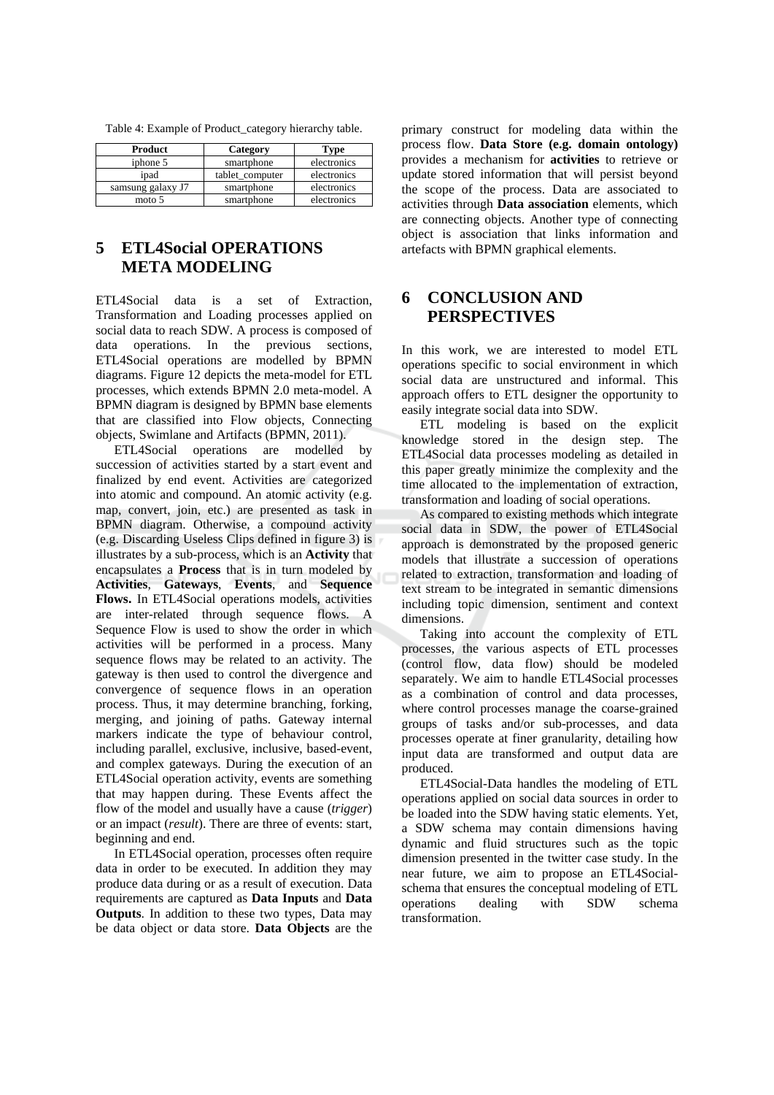|  |  |  |  |  |  |  |  |  | Table 4: Example of Product_category hierarchy table. |  |
|--|--|--|--|--|--|--|--|--|-------------------------------------------------------|--|
|--|--|--|--|--|--|--|--|--|-------------------------------------------------------|--|

| Product           | Category        | Type        |
|-------------------|-----------------|-------------|
| iphone 5          | smartphone      | electronics |
| ipad              | tablet computer | electronics |
| samsung galaxy J7 | smartphone      | electronics |
| moto 5            | smartphone      | electronics |

## **ETL4Social OPERATIONS**  $\overline{5}$ **META MODELING**

ETLASocial data is a set of Extraction. Transformation and Loading processes applied on social data to reach SDW. A process is composed of data operations. In the previous sections, ETL4Social operations are modelled by BPMN diagrams. Figure 12 depicts the meta-model for ETL processes, which extends BPMN 2.0 meta-model. A BPMN diagram is designed by BPMN base elements that are classified into Flow objects, Connecting objects, Swimlane and Artifacts (BPMN, 2011).

ETL4Social operations are modelled by succession of activities started by a start event and finalized by end event. Activities are categorized into atomic and compound. An atomic activity (e.g. map, convert, join, etc.) are presented as task in BPMN diagram. Otherwise, a compound activity (e.g. Discarding Useless Clips defined in figure 3) is illustrates by a sub-process, which is an **Activity** that encapsulates a **Process** that is in turn modeled by Activities, Gateways, Events, and Sequence Flows. In ETL4Social operations models, activities are inter-related through sequence flows. A Sequence Flow is used to show the order in which activities will be performed in a process. Many sequence flows may be related to an activity. The gateway is then used to control the divergence and convergence of sequence flows in an operation process. Thus, it may determine branching, forking, merging, and joining of paths. Gateway internal markers indicate the type of behaviour control, including parallel, exclusive, inclusive, based-event. and complex gateways. During the execution of an ETL4Social operation activity, events are something that may happen during. These Events affect the flow of the model and usually have a cause *(trigger)* or an impact (*result*). There are three of events: start, beginning and end.

In ETL4Social operation, processes often require data in order to be executed. In addition they may produce data during or as a result of execution. Data requirements are captured as Data Inputs and Data **Outputs**. In addition to these two types, Data may be data object or data store. Data Objects are the

primary construct for modeling data within the process flow. Data Store (e.g. domain ontology) provides a mechanism for **activities** to retrieve or update stored information that will persist beyond the scope of the process. Data are associated to activities through Data association elements, which are connecting objects. Another type of connecting object is association that links information and artefacts with BPMN graphical elements.

## 6 **CONCLUSION AND PERSPECTIVES**

In this work, we are interested to model ETL operations specific to social environment in which social data are unstructured and informal. This approach offers to ETL designer the opportunity to easily integrate social data into SDW.

ETL modeling is based on the explicit knowledge stored in the design step. The ETL4Social data processes modeling as detailed in this paper greatly minimize the complexity and the time allocated to the implementation of extraction, transformation and loading of social operations.

As compared to existing methods which integrate social data in SDW, the power of ETL4Social approach is demonstrated by the proposed generic models that illustrate a succession of operations related to extraction, transformation and loading of text stream to be integrated in semantic dimensions including topic dimension, sentiment and context dimensions.

Taking into account the complexity of ETL processes, the various aspects of ETL processes (control flow, data flow) should be modeled separately. We aim to handle ETL4Social processes as a combination of control and data processes. where control processes manage the coarse-grained groups of tasks and/or sub-processes, and data processes operate at finer granularity, detailing how input data are transformed and output data are produced.

ETL4Social-Data handles the modeling of ETL operations applied on social data sources in order to be loaded into the SDW having static elements. Yet, a SDW schema may contain dimensions having dynamic and fluid structures such as the topic dimension presented in the twitter case study. In the near future, we aim to propose an ETL4Socialschema that ensures the conceptual modeling of ETL with operations dealing **SDW** schema transformation.